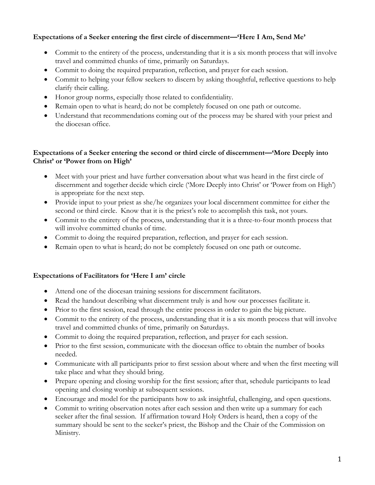# **Expectations of a Seeker entering the first circle of discernment—'Here I Am, Send Me'**

- Commit to the entirety of the process, understanding that it is a six month process that will involve travel and committed chunks of time, primarily on Saturdays.
- Commit to doing the required preparation, reflection, and prayer for each session.
- Commit to helping your fellow seekers to discern by asking thoughtful, reflective questions to help clarify their calling.
- Honor group norms, especially those related to confidentiality.
- Remain open to what is heard; do not be completely focused on one path or outcome.
- Understand that recommendations coming out of the process may be shared with your priest and the diocesan office.

## **Expectations of a Seeker entering the second or third circle of discernment—'More Deeply into Christ' or 'Power from on High'**

- Meet with your priest and have further conversation about what was heard in the first circle of discernment and together decide which circle ('More Deeply into Christ' or 'Power from on High') is appropriate for the next step.
- Provide input to your priest as she/he organizes your local discernment committee for either the second or third circle. Know that it is the priest's role to accomplish this task, not yours.
- Commit to the entirety of the process, understanding that it is a three-to-four month process that will involve committed chunks of time.
- Commit to doing the required preparation, reflection, and prayer for each session.
- Remain open to what is heard; do not be completely focused on one path or outcome.

## **Expectations of Facilitators for 'Here I am' circle**

- Attend one of the diocesan training sessions for discernment facilitators.
- Read the handout describing what discernment truly is and how our processes facilitate it.
- Prior to the first session, read through the entire process in order to gain the big picture.
- Commit to the entirety of the process, understanding that it is a six month process that will involve travel and committed chunks of time, primarily on Saturdays.
- Commit to doing the required preparation, reflection, and prayer for each session.
- Prior to the first session, communicate with the diocesan office to obtain the number of books needed.
- Communicate with all participants prior to first session about where and when the first meeting will take place and what they should bring.
- Prepare opening and closing worship for the first session; after that, schedule participants to lead opening and closing worship at subsequent sessions.
- Encourage and model for the participants how to ask insightful, challenging, and open questions.
- Commit to writing observation notes after each session and then write up a summary for each seeker after the final session. If affirmation toward Holy Orders is heard, then a copy of the summary should be sent to the seeker's priest, the Bishop and the Chair of the Commission on Ministry.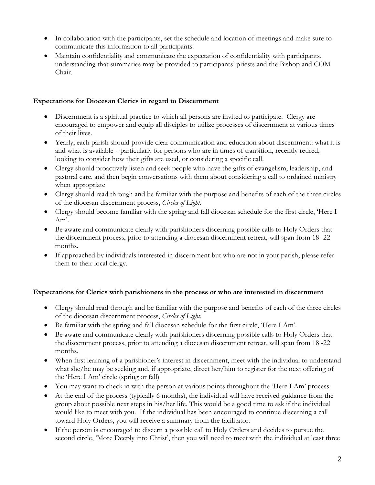- In collaboration with the participants, set the schedule and location of meetings and make sure to communicate this information to all participants.
- Maintain confidentiality and communicate the expectation of confidentiality with participants, understanding that summaries may be provided to participants' priests and the Bishop and COM Chair.

## **Expectations for Diocesan Clerics in regard to Discernment**

- Discernment is a spiritual practice to which all persons are invited to participate. Clergy are encouraged to empower and equip all disciples to utilize processes of discernment at various times of their lives.
- Yearly, each parish should provide clear communication and education about discernment: what it is and what is available---particularly for persons who are in times of transition, recently retired, looking to consider how their gifts are used, or considering a specific call.
- Clergy should proactively listen and seek people who have the gifts of evangelism, leadership, and pastoral care, and then begin conversations with them about considering a call to ordained ministry when appropriate
- Clergy should read through and be familiar with the purpose and benefits of each of the three circles of the diocesan discernment process, *Circles of Light*.
- Clergy should become familiar with the spring and fall diocesan schedule for the first circle, 'Here I Am'.
- Be aware and communicate clearly with parishioners discerning possible calls to Holy Orders that the discernment process, prior to attending a diocesan discernment retreat, will span from 18 -22 months.
- If approached by individuals interested in discernment but who are not in your parish, please refer them to their local clergy.

## **Expectations for Clerics with parishioners in the process or who are interested in discernment**

- Clergy should read through and be familiar with the purpose and benefits of each of the three circles of the diocesan discernment process, *Circles of Light*.
- Be familiar with the spring and fall diocesan schedule for the first circle, 'Here I Am'.
- Be aware and communicate clearly with parishioners discerning possible calls to Holy Orders that the discernment process, prior to attending a diocesan discernment retreat, will span from 18 -22 months.
- When first learning of a parishioner's interest in discernment, meet with the individual to understand what she/he may be seeking and, if appropriate, direct her/him to register for the next offering of the 'Here I Am' circle (spring or fall)
- You may want to check in with the person at various points throughout the 'Here I Am' process.
- At the end of the process (typically 6 months), the individual will have received guidance from the group about possible next steps in his/her life. This would be a good time to ask if the individual would like to meet with you. If the individual has been encouraged to continue discerning a call toward Holy Orders, you will receive a summary from the facilitator.
- If the person is encouraged to discern a possible call to Holy Orders and decides to pursue the second circle, 'More Deeply into Christ', then you will need to meet with the individual at least three